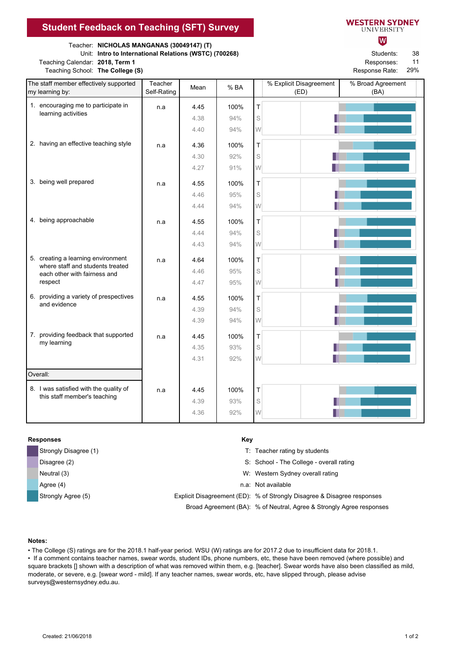## **Student Feedback on Teaching (SFT) Survey**

Teacher: **NICHOLAS MANGANAS (30049147) (T)**

Unit: **Intro to International Relations (WSTC) (700268)** Students:

Teaching Calendar: 2018, Term 1 **Responses: Responses: Responses: Responses: Responses: Responses: Responses: Responses: Responses: Responses: Responses: Responses: Responses: Responses: Respons** 

| <b>NESTERN SYDNEY</b> |  |
|-----------------------|--|
| UNIVERSITY            |  |

lw

38 11

Teaching School: The College (S) **Response Rate: Response Rate: Response Rate: Response Rate: Response Rate: Response Rate: Response Rate: Response Rate: Response Rate: Response Rate: Response Rate: R** 29%

| The staff member effectively supported<br>my learning by: |                                                                                                                   | Teacher     | Mean | % BA |   | % Explicit Disagreement | % Broad Agreement |
|-----------------------------------------------------------|-------------------------------------------------------------------------------------------------------------------|-------------|------|------|---|-------------------------|-------------------|
|                                                           |                                                                                                                   | Self-Rating |      |      |   | (ED)                    | (BA)              |
|                                                           | 1. encouraging me to participate in                                                                               | n.a         | 4.45 | 100% | т |                         |                   |
|                                                           | learning activities                                                                                               |             | 4.38 | 94%  | S |                         |                   |
|                                                           |                                                                                                                   |             | 4.40 | 94%  | W |                         |                   |
|                                                           | 2. having an effective teaching style                                                                             | n.a         | 4.36 | 100% | T |                         |                   |
|                                                           |                                                                                                                   |             | 4.30 | 92%  | S |                         |                   |
|                                                           |                                                                                                                   |             | 4.27 | 91%  | W |                         |                   |
|                                                           | 3. being well prepared                                                                                            | n.a         | 4.55 | 100% | T |                         |                   |
|                                                           |                                                                                                                   |             | 4.46 | 95%  | S |                         |                   |
|                                                           |                                                                                                                   |             | 4.44 | 94%  | W |                         |                   |
|                                                           | 4. being approachable                                                                                             | n.a         | 4.55 | 100% | T |                         |                   |
|                                                           |                                                                                                                   |             | 4.44 | 94%  | S |                         |                   |
|                                                           |                                                                                                                   |             | 4.43 | 94%  | W |                         |                   |
|                                                           | 5. creating a learning environment<br>where staff and students treated<br>each other with fairness and<br>respect | n.a         |      |      |   |                         |                   |
|                                                           |                                                                                                                   |             | 4.64 | 100% | T |                         |                   |
|                                                           |                                                                                                                   |             | 4.46 | 95%  | S |                         |                   |
|                                                           |                                                                                                                   |             | 4.47 | 95%  | W |                         |                   |
|                                                           | 6. providing a variety of prespectives<br>and evidence                                                            | n.a         | 4.55 | 100% | T |                         |                   |
|                                                           |                                                                                                                   |             | 4.39 | 94%  | S |                         |                   |
|                                                           |                                                                                                                   |             | 4.39 | 94%  | W |                         |                   |
|                                                           | 7. providing feedback that supported<br>my learning                                                               | n.a         | 4.45 | 100% | T |                         |                   |
|                                                           |                                                                                                                   |             | 4.35 | 93%  | S |                         |                   |
|                                                           |                                                                                                                   |             | 4.31 | 92%  | W |                         |                   |
| Overall:                                                  |                                                                                                                   |             |      |      |   |                         |                   |
|                                                           | 8. I was satisfied with the quality of<br>this staff member's teaching                                            |             |      |      |   |                         |                   |
|                                                           |                                                                                                                   | n.a         | 4.45 | 100% | T |                         |                   |
|                                                           |                                                                                                                   |             | 4.39 | 93%  | S |                         |                   |
|                                                           |                                                                                                                   |             | 4.36 | 92%  | W |                         |                   |

## **Responses** Key

| Strongly Disagree (1) | T: Teacher rating by students                                           |
|-----------------------|-------------------------------------------------------------------------|
| Disagree (2)          | S: School - The College - overall rating                                |
| Neutral (3)           | W: Western Sydney overall rating                                        |
| Agree (4)             | n.a: Not available                                                      |
| Strongly Agree (5)    | Explicit Disagreement (ED): % of Strongly Disagree & Disagree responses |
|                       | Broad Agreement (BA): % of Neutral, Agree & Strongly Agree responses    |

## **Notes:**

• The College (S) ratings are for the 2018.1 half-year period. WSU (W) ratings are for 2017.2 due to insufficient data for 2018.1.

• If a comment contains teacher names, swear words, student IDs, phone numbers, etc, these have been removed (where possible) and square brackets [] shown with a description of what was removed within them, e.g. [teacher]. Swear words have also been classified as mild, moderate, or severe, e.g. [swear word - mild]. If any teacher names, swear words, etc, have slipped through, please advise surveys@westernsydney.edu.au.